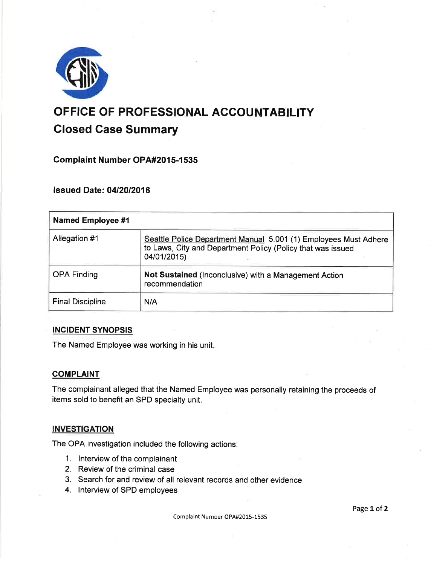

# OFFICE OF PROFESSIONAL ACCOUNTABILITY Closed Case Summary

## **Complaint Number OPA#2015-1535**

## **lssued Date: 04/20/2016**

| <b>Named Employee #1</b> |                                                                                                                                                |
|--------------------------|------------------------------------------------------------------------------------------------------------------------------------------------|
| Allegation #1            | Seattle Police Department Manual 5.001 (1) Employees Must Adhere<br>to Laws, City and Department Policy (Policy that was issued<br>04/01/2015) |
| <b>OPA Finding</b>       | Not Sustained (Inconclusive) with a Management Action<br>recommendation                                                                        |
| <b>Final Discipline</b>  | N/A                                                                                                                                            |

#### INCIDENT SYNOPSIS

The Named Employee was working in his unit

### **COMPLAINT**

The complainant alleged that the Named Employee was personally retaining the proceeds of items sold to benefit an SPD specialty unit.

#### **INVESTIGATION**

The OPA investigation included the following actions:

- 1. lnterview of the complainant
- 2. Review of the criminal case
- 3. Search for and review of all relevant records and other evidence
- 4. lnterview of SPD employees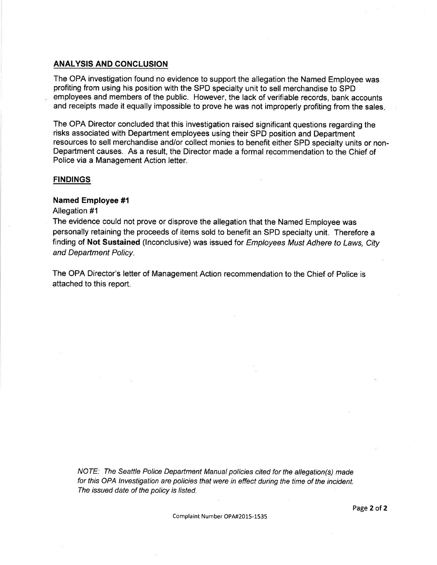#### ANALYSIS AND CONCLUSION

The OPA investigation found no evidence to support the allegation the Named Employee was profiting from using his position with the SPD specialty unit to sell merchandise to SPD employees and members of the public. However, the lack of verifiable records, bank accounts and receipts made it equally impossible to prove he was not improperly profiting from the sales.

The OPA Director concluded that this investigation raised significant questions regarding the risks associated with Department employees using their SPD position and Department resources to sell merchandise and/or collect monies to benefit either SPD specialty units or non-Department causes. As a result, the Director made a formal recommendation to the Chief of Police via a Management Action letter.

#### **FINDINGS**

#### Named Employee #1

#### Allegation #1

The evidence could not prove or disprove the allegation that the Named Employee was personally retaining the proceeds of items sold to benefit an SPD specialty unit. Therefore <sup>a</sup> finding of Not Sustained (Inconclusive) was issued for *Employees Must Adhere to Laws, City* and Department Policy.

The OPA Director's letter of Management Action recommendation to the Chief of Police is attached to this report.

NOTE: The Seattle Police Department Manual policies cited for the allegation(s) made for this OPA lnvestigation are policies that were in effect during the time of the incident. The issued date of the policy is listed.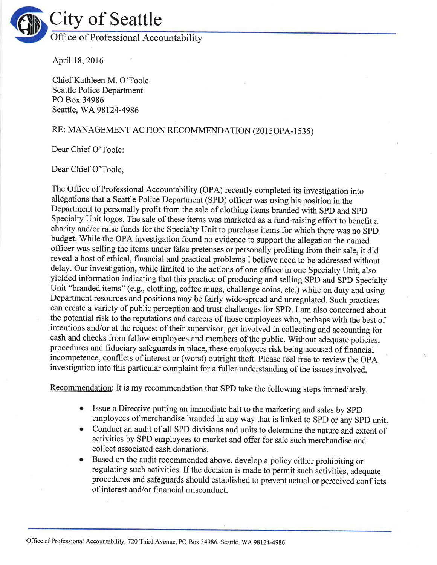

April 18,2016

Chief Kathleen M. O'Toole Seattle Police Department PO Box 34986 Seattle, WA 98124-4986

# RE: MANAGEMENT ACTION RECOMMENDATION (2015OPA-1535)

Dear Chief O'Toole:

Dear Chief O'Toole,

The Office of Professional Accountability (OPA) recently completed its investigation into allegations that a Seattle Police Department (SPD) officer was using his position in the Department to personally profit from the sale of clothing items branded with SPD and SpD Specialty Unit logos. The sale of these items was marketed as a fund-raising effort to benefit <sup>a</sup> charity and/or raise funds for the Specialty Unit to purchase items for which there was no SPD budget. While the OPA investigation found no evidence to support the allegation the named officer was selling the items under false pretenses or personally profiting from their sale, it did reveal a host of ethical, financial and practical problems I believe need to be addressed without delay. Our investigation, while limited to the actions of one officer in one Specialty Unit, also yielded information indicating that this practice of producing and selling SPD and SPD Specialty Unit "branded items" (e.g., clothing, coffee mugs, challenge coins, etc.) while on duty anà using Department resources and positions may be fairly wide-spread and unregulated. Such practices can create a variety of public perception and trust challenges for SPD. I am also concerned about the potential risk to the reputations and careers of those employees who, perhaps with the best of intentions and/or at the request of their supervisor, get involved in collecting and accounting for cash and checks from fellow employees and members of the public. Without adequate policies, procedures and fiduciary safeguards in place, these employees risk being accused of financial incompetence, conflicts of interest or (worst) outright theft. Please feel free to review the OpA investigation into this particular complaint for a fuller understanding of the issues involved.

Recommendation: It is my recommendation that SPD take the following steps immediately.

- o Issue a Directive putting an immediate halt to the marketing and sales by SPD employees of merchandise branded in any way that is linked to SPD or any SPD unit.
- Conduct an audit of all SPD divisions and units to determine the nature and extent of activities by SPD employees to market and offer for sale such merchandise and collect associated cash donations.
- Based on the audit recommended above, develop a policy either prohibiting or regulating such activities. If the decision is made to permit such activities, adequate procedures and safeguards should established to prevent actual or perceived conflicts of interest and/or financial misconduct.